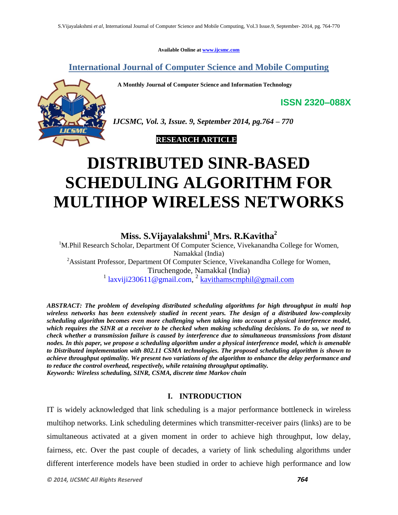**Available Online at [www.ijcsmc.com](http://www.ijcsmc.com/)**

**International Journal of Computer Science and Mobile Computing**

 **A Monthly Journal of Computer Science and Information Technology**



*IJCSMC, Vol. 3, Issue. 9, September 2014, pg.764 – 770*

# **RESEARCH ARTICLE**

# **DISTRIBUTED SINR-BASED SCHEDULING ALGORITHM FOR MULTIHOP WIRELESS NETWORKS**

**Miss. S.Vijayalakshmi<sup>1</sup> , Mrs. R.Kavitha<sup>2</sup>**

<sup>1</sup>M.Phil Research Scholar, Department Of Computer Science, Vivekanandha College for Women, Namakkal (India) <sup>2</sup>Assistant Professor, Department Of Computer Science, Vivekanandha College for Women, Tiruchengode, Namakkal (India) <sup>1</sup> [laxviji230611@gmail.com,](mailto:laxviji230611@gmail.com) <sup>2</sup> [kavithamscmphil@gmail.com](mailto:kavithamscmphil@gmail.com)

*ABSTRACT: The problem of developing distributed scheduling algorithms for high throughput in multi hop wireless networks has been extensively studied in recent years. The design of a distributed low-complexity scheduling algorithm becomes even more challenging when taking into account a physical interference model, which requires the SINR at a receiver to be checked when making scheduling decisions. To do so, we need to check whether a transmission failure is caused by interference due to simultaneous transmissions from distant nodes. In this paper, we propose a scheduling algorithm under a physical interference model, which is amenable to Distributed implementation with 802.11 CSMA technologies. The proposed scheduling algorithm is shown to achieve throughput optimality. We present two variations of the algorithm to enhance the delay performance and to reduce the control overhead, respectively, while retaining throughput optimality. Keywords: Wireless scheduling, SINR, CSMA, discrete time Markov chain*

## **I. INTRODUCTION**

IT is widely acknowledged that link scheduling is a major performance bottleneck in wireless multihop networks. Link scheduling determines which transmitter-receiver pairs (links) are to be simultaneous activated at a given moment in order to achieve high throughput, low delay, fairness, etc. Over the past couple of decades, a variety of link scheduling algorithms under different interference models have been studied in order to achieve high performance and low

**ISSN 2320–088X**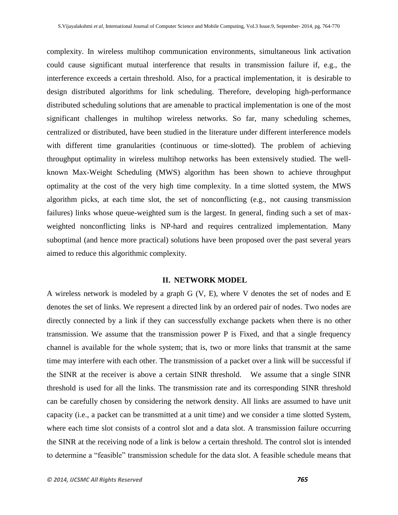complexity. In wireless multihop communication environments, simultaneous link activation could cause significant mutual interference that results in transmission failure if, e.g., the interference exceeds a certain threshold. Also, for a practical implementation, it is desirable to design distributed algorithms for link scheduling. Therefore, developing high-performance distributed scheduling solutions that are amenable to practical implementation is one of the most significant challenges in multihop wireless networks. So far, many scheduling schemes, centralized or distributed, have been studied in the literature under different interference models with different time granularities (continuous or time-slotted). The problem of achieving throughput optimality in wireless multihop networks has been extensively studied. The wellknown Max-Weight Scheduling (MWS) algorithm has been shown to achieve throughput optimality at the cost of the very high time complexity. In a time slotted system, the MWS algorithm picks, at each time slot, the set of nonconflicting (e.g., not causing transmission failures) links whose queue-weighted sum is the largest. In general, finding such a set of maxweighted nonconflicting links is NP-hard and requires centralized implementation. Many suboptimal (and hence more practical) solutions have been proposed over the past several years aimed to reduce this algorithmic complexity.

#### **II. NETWORK MODEL**

A wireless network is modeled by a graph G (V, E), where V denotes the set of nodes and E denotes the set of links. We represent a directed link by an ordered pair of nodes. Two nodes are directly connected by a link if they can successfully exchange packets when there is no other transmission. We assume that the transmission power P is Fixed, and that a single frequency channel is available for the whole system; that is, two or more links that transmit at the same time may interfere with each other. The transmission of a packet over a link will be successful if the SINR at the receiver is above a certain SINR threshold. We assume that a single SINR threshold is used for all the links. The transmission rate and its corresponding SINR threshold can be carefully chosen by considering the network density. All links are assumed to have unit capacity (i.e., a packet can be transmitted at a unit time) and we consider a time slotted System, where each time slot consists of a control slot and a data slot. A transmission failure occurring the SINR at the receiving node of a link is below a certain threshold. The control slot is intended to determine a "feasible" transmission schedule for the data slot. A feasible schedule means that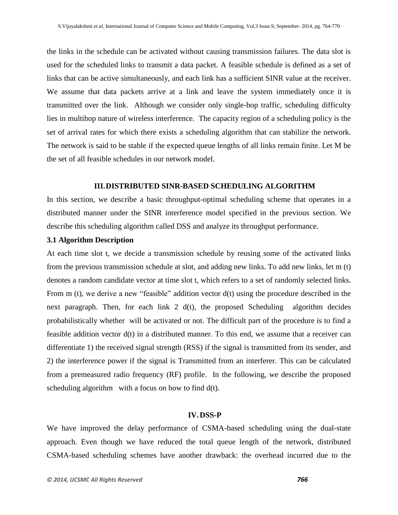the links in the schedule can be activated without causing transmission failures. The data slot is used for the scheduled links to transmit a data packet. A feasible schedule is defined as a set of links that can be active simultaneously, and each link has a sufficient SINR value at the receiver. We assume that data packets arrive at a link and leave the system immediately once it is transmitted over the link. Although we consider only single-hop traffic, scheduling difficulty lies in multihop nature of wireless interference. The capacity region of a scheduling policy is the set of arrival rates for which there exists a scheduling algorithm that can stabilize the network. The network is said to be stable if the expected queue lengths of all links remain finite. Let M be the set of all feasible schedules in our network model.

#### **III.DISTRIBUTED SINR-BASED SCHEDULING ALGORITHM**

In this section, we describe a basic throughput-optimal scheduling scheme that operates in a distributed manner under the SINR interference model specified in the previous section. We describe this scheduling algorithm called DSS and analyze its throughput performance.

#### **3.1 Algorithm Description**

At each time slot t, we decide a transmission schedule by reusing some of the activated links from the previous transmission schedule at slot, and adding new links. To add new links, let m (t) denotes a random candidate vector at time slot t, which refers to a set of randomly selected links. From m (t), we derive a new "feasible" addition vector d(t) using the procedure described in the next paragraph. Then, for each link  $2 \, d(t)$ , the proposed Scheduling algorithm decides probabilistically whether will be activated or not. The difficult part of the procedure is to find a feasible addition vector d(t) in a distributed manner. To this end, we assume that a receiver can differentiate 1) the received signal strength (RSS) if the signal is transmitted from its sender, and 2) the interference power if the signal is Transmitted from an interferer. This can be calculated from a premeasured radio frequency (RF) profile. In the following, we describe the proposed scheduling algorithm with a focus on how to find  $d(t)$ .

#### **IV.DSS-P**

We have improved the delay performance of CSMA-based scheduling using the dual-state approach. Even though we have reduced the total queue length of the network, distributed CSMA-based scheduling schemes have another drawback: the overhead incurred due to the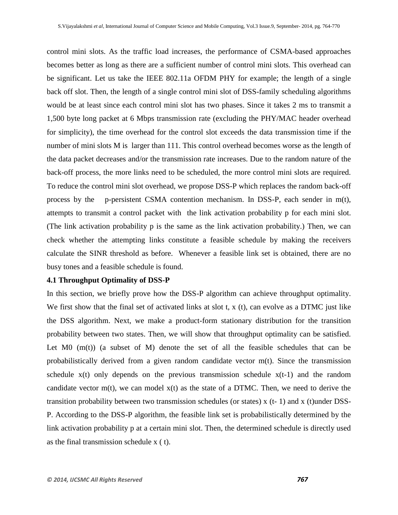control mini slots. As the traffic load increases, the performance of CSMA-based approaches becomes better as long as there are a sufficient number of control mini slots. This overhead can be significant. Let us take the IEEE 802.11a OFDM PHY for example; the length of a single back off slot. Then, the length of a single control mini slot of DSS-family scheduling algorithms would be at least since each control mini slot has two phases. Since it takes 2 ms to transmit a 1,500 byte long packet at 6 Mbps transmission rate (excluding the PHY/MAC header overhead for simplicity), the time overhead for the control slot exceeds the data transmission time if the number of mini slots M is larger than 111. This control overhead becomes worse as the length of the data packet decreases and/or the transmission rate increases. Due to the random nature of the back-off process, the more links need to be scheduled, the more control mini slots are required. To reduce the control mini slot overhead, we propose DSS-P which replaces the random back-off process by the p-persistent CSMA contention mechanism. In DSS-P, each sender in m(t), attempts to transmit a control packet with the link activation probability p for each mini slot. (The link activation probability p is the same as the link activation probability.) Then, we can check whether the attempting links constitute a feasible schedule by making the receivers calculate the SINR threshold as before. Whenever a feasible link set is obtained, there are no busy tones and a feasible schedule is found.

#### **4.1 Throughput Optimality of DSS-P**

In this section, we briefly prove how the DSS-P algorithm can achieve throughput optimality. We first show that the final set of activated links at slot t, x (t), can evolve as a DTMC just like the DSS algorithm. Next, we make a product-form stationary distribution for the transition probability between two states. Then, we will show that throughput optimality can be satisfied. Let  $MO$   $(m(t))$  (a subset of  $M$ ) denote the set of all the feasible schedules that can be probabilistically derived from a given random candidate vector m(t). Since the transmission schedule  $x(t)$  only depends on the previous transmission schedule  $x(t-1)$  and the random candidate vector  $m(t)$ , we can model  $x(t)$  as the state of a DTMC. Then, we need to derive the transition probability between two transmission schedules (or states)  $x$  (t-1) and  $x$  (t)under DSS-P. According to the DSS-P algorithm, the feasible link set is probabilistically determined by the link activation probability p at a certain mini slot. Then, the determined schedule is directly used as the final transmission schedule x ( t).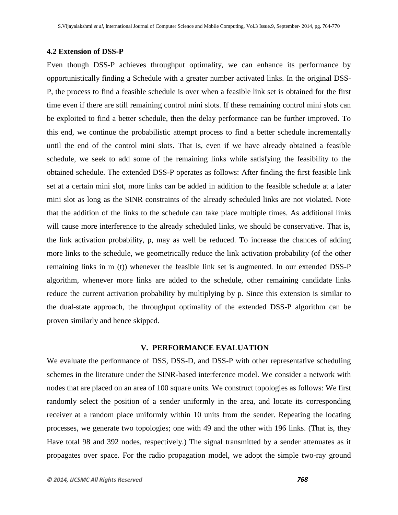## **4.2 Extension of DSS-P**

Even though DSS-P achieves throughput optimality, we can enhance its performance by opportunistically finding a Schedule with a greater number activated links. In the original DSS-P, the process to find a feasible schedule is over when a feasible link set is obtained for the first time even if there are still remaining control mini slots. If these remaining control mini slots can be exploited to find a better schedule, then the delay performance can be further improved. To this end, we continue the probabilistic attempt process to find a better schedule incrementally until the end of the control mini slots. That is, even if we have already obtained a feasible schedule, we seek to add some of the remaining links while satisfying the feasibility to the obtained schedule. The extended DSS-P operates as follows: After finding the first feasible link set at a certain mini slot, more links can be added in addition to the feasible schedule at a later mini slot as long as the SINR constraints of the already scheduled links are not violated. Note that the addition of the links to the schedule can take place multiple times. As additional links will cause more interference to the already scheduled links, we should be conservative. That is, the link activation probability, p, may as well be reduced. To increase the chances of adding more links to the schedule, we geometrically reduce the link activation probability (of the other remaining links in m (t)) whenever the feasible link set is augmented. In our extended DSS-P algorithm, whenever more links are added to the schedule, other remaining candidate links reduce the current activation probability by multiplying by p. Since this extension is similar to the dual-state approach, the throughput optimality of the extended DSS-P algorithm can be proven similarly and hence skipped.

#### **V. PERFORMANCE EVALUATION**

We evaluate the performance of DSS, DSS-D, and DSS-P with other representative scheduling schemes in the literature under the SINR-based interference model. We consider a network with nodes that are placed on an area of 100 square units. We construct topologies as follows: We first randomly select the position of a sender uniformly in the area, and locate its corresponding receiver at a random place uniformly within 10 units from the sender. Repeating the locating processes, we generate two topologies; one with 49 and the other with 196 links. (That is, they Have total 98 and 392 nodes, respectively.) The signal transmitted by a sender attenuates as it propagates over space. For the radio propagation model, we adopt the simple two-ray ground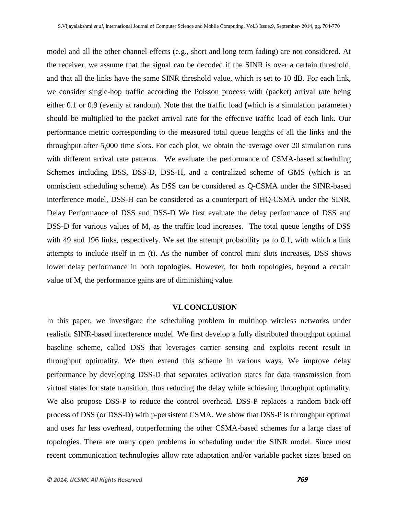model and all the other channel effects (e.g., short and long term fading) are not considered. At the receiver, we assume that the signal can be decoded if the SINR is over a certain threshold, and that all the links have the same SINR threshold value, which is set to 10 dB. For each link, we consider single-hop traffic according the Poisson process with (packet) arrival rate being either 0.1 or 0.9 (evenly at random). Note that the traffic load (which is a simulation parameter) should be multiplied to the packet arrival rate for the effective traffic load of each link. Our performance metric corresponding to the measured total queue lengths of all the links and the throughput after 5,000 time slots. For each plot, we obtain the average over 20 simulation runs with different arrival rate patterns. We evaluate the performance of CSMA-based scheduling Schemes including DSS, DSS-D, DSS-H, and a centralized scheme of GMS (which is an omniscient scheduling scheme). As DSS can be considered as Q-CSMA under the SINR-based interference model, DSS-H can be considered as a counterpart of HQ-CSMA under the SINR. Delay Performance of DSS and DSS-D We first evaluate the delay performance of DSS and DSS-D for various values of M, as the traffic load increases. The total queue lengths of DSS with 49 and 196 links, respectively. We set the attempt probability pa to 0.1, with which a link attempts to include itself in m (t). As the number of control mini slots increases, DSS shows lower delay performance in both topologies. However, for both topologies, beyond a certain value of M, the performance gains are of diminishing value.

#### **VI.CONCLUSION**

In this paper, we investigate the scheduling problem in multihop wireless networks under realistic SINR-based interference model. We first develop a fully distributed throughput optimal baseline scheme, called DSS that leverages carrier sensing and exploits recent result in throughput optimality. We then extend this scheme in various ways. We improve delay performance by developing DSS-D that separates activation states for data transmission from virtual states for state transition, thus reducing the delay while achieving throughput optimality. We also propose DSS-P to reduce the control overhead. DSS-P replaces a random back-off process of DSS (or DSS-D) with p-persistent CSMA. We show that DSS-P is throughput optimal and uses far less overhead, outperforming the other CSMA-based schemes for a large class of topologies. There are many open problems in scheduling under the SINR model. Since most recent communication technologies allow rate adaptation and/or variable packet sizes based on